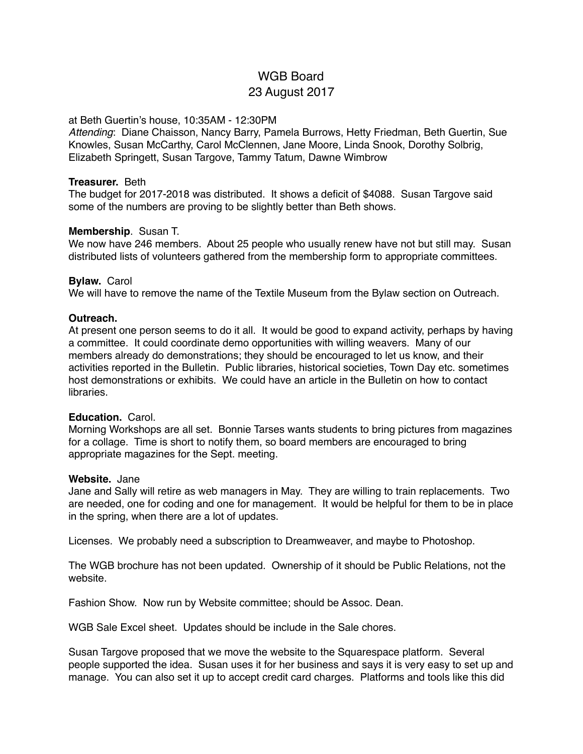# WGB Board 23 August 2017

# at Beth Guertin's house, 10:35AM - 12:30PM

*Attending*: Diane Chaisson, Nancy Barry, Pamela Burrows, Hetty Friedman, Beth Guertin, Sue Knowles, Susan McCarthy, Carol McClennen, Jane Moore, Linda Snook, Dorothy Solbrig, Elizabeth Springett, Susan Targove, Tammy Tatum, Dawne Wimbrow

### **Treasurer.** Beth

The budget for 2017-2018 was distributed. It shows a deficit of \$4088. Susan Targove said some of the numbers are proving to be slightly better than Beth shows.

# **Membership**. Susan T.

We now have 246 members. About 25 people who usually renew have not but still may. Susan distributed lists of volunteers gathered from the membership form to appropriate committees.

### **Bylaw.** Carol

We will have to remove the name of the Textile Museum from the Bylaw section on Outreach.

### **Outreach.**

At present one person seems to do it all. It would be good to expand activity, perhaps by having a committee. It could coordinate demo opportunities with willing weavers. Many of our members already do demonstrations; they should be encouraged to let us know, and their activities reported in the Bulletin. Public libraries, historical societies, Town Day etc. sometimes host demonstrations or exhibits. We could have an article in the Bulletin on how to contact libraries.

# **Education.** Carol.

Morning Workshops are all set. Bonnie Tarses wants students to bring pictures from magazines for a collage. Time is short to notify them, so board members are encouraged to bring appropriate magazines for the Sept. meeting.

#### **Website.** Jane

Jane and Sally will retire as web managers in May. They are willing to train replacements. Two are needed, one for coding and one for management. It would be helpful for them to be in place in the spring, when there are a lot of updates.

Licenses. We probably need a subscription to Dreamweaver, and maybe to Photoshop.

The WGB brochure has not been updated. Ownership of it should be Public Relations, not the website.

Fashion Show. Now run by Website committee; should be Assoc. Dean.

WGB Sale Excel sheet. Updates should be include in the Sale chores.

Susan Targove proposed that we move the website to the Squarespace platform. Several people supported the idea. Susan uses it for her business and says it is very easy to set up and manage. You can also set it up to accept credit card charges. Platforms and tools like this did